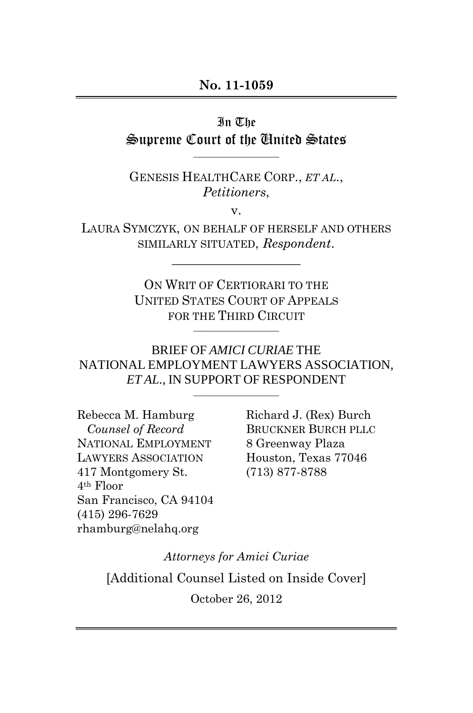In The Supreme Court of the United States

\_\_\_\_\_\_\_\_\_\_\_\_\_\_\_\_\_\_\_\_

GENESIS HEALTHCARE CORP., *ET AL*., *Petitioners*,

v.

LAURA SYMCZYK, ON BEHALF OF HERSELF AND OTHERS SIMILARLY SITUATED, *Respondent*.

\_\_\_\_\_\_\_\_\_\_\_\_\_\_\_\_\_\_\_\_

ON WRIT OF CERTIORARI TO THE UNITED STATES COURT OF APPEALS FOR THE THIRD CIRCUIT

\_\_\_\_\_\_\_\_\_\_\_\_\_\_\_\_\_\_\_\_

BRIEF OF *AMICI CURIAE* THE NATIONAL EMPLOYMENT LAWYERS ASSOCIATION, *ET AL.*, IN SUPPORT OF RESPONDENT

\_\_\_\_\_\_\_\_\_\_\_\_\_\_\_\_\_\_\_\_

Rebecca M. Hamburg *Counsel of Record* NATIONAL EMPLOYMENT LAWYERS ASSOCIATION 417 Montgomery St. 4th Floor San Francisco, CA 94104 (415) 296-7629 rhamburg@nelahq.org

Richard J. (Rex) Burch BRUCKNER BURCH PLLC 8 Greenway Plaza Houston, Texas 77046 (713) 877-8788

*Attorneys for Amici Curiae* [Additional Counsel Listed on Inside Cover] October 26, 2012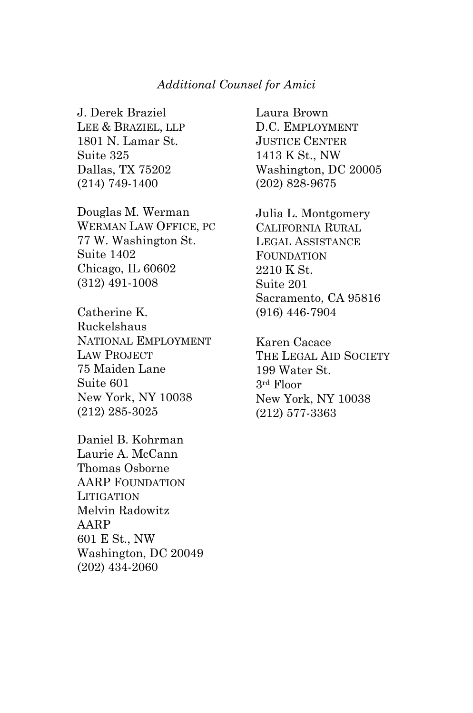#### *Additional Counsel for Amici*

J. Derek Braziel LEE & BRAZIEL, LLP 1801 N. Lamar St. Suite 325 Dallas, TX 75202 (214) 749-1400

Douglas M. Werman WERMAN LAW OFFICE, PC 77 W. Washington St. Suite 1402 Chicago, IL 60602 (312) 491-1008

Catherine K. Ruckelshaus NATIONAL EMPLOYMENT LAW PROJECT 75 Maiden Lane Suite 601 New York, NY 10038 (212) 285-3025

Daniel B. Kohrman Laurie A. McCann Thomas Osborne AARP FOUNDATION **LITIGATION** Melvin Radowitz AARP 601 E St., NW Washington, DC 20049 (202) 434-2060

Laura Brown D.C. EMPLOYMENT JUSTICE CENTER 1413 K St., NW Washington, DC 20005 (202) 828-9675

Julia L. Montgomery CALIFORNIA RURAL LEGAL ASSISTANCE FOUNDATION 2210 K St. Suite 201 Sacramento, CA 95816 (916) 446-7904

Karen Cacace THE LEGAL AID SOCIETY 199 Water St. 3rd Floor New York, NY 10038 (212) 577-3363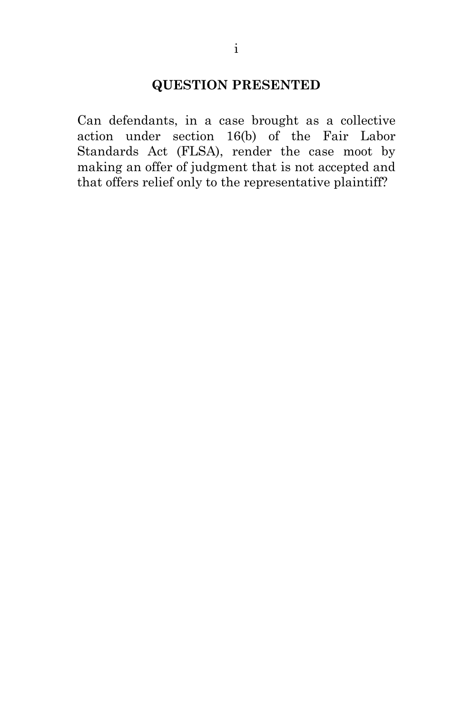# **QUESTION PRESENTED**

<span id="page-2-0"></span>Can defendants, in a case brought as a collective action under section 16(b) of the Fair Labor Standards Act (FLSA), render the case moot by making an offer of judgment that is not accepted and that offers relief only to the representative plaintiff?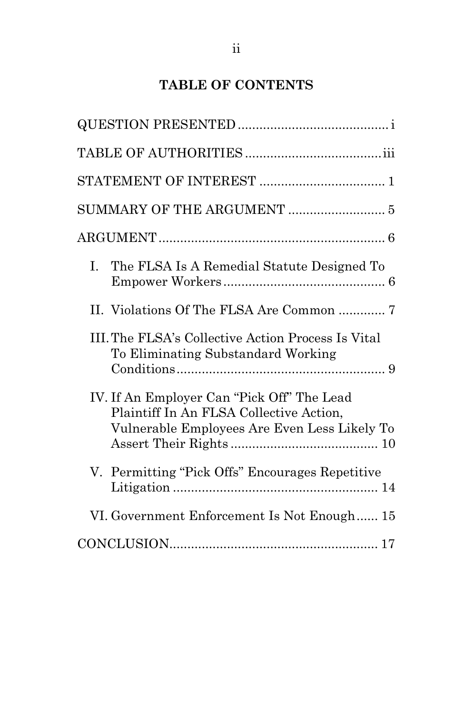# **TABLE OF CONTENTS**

| The FLSA Is A Remedial Statute Designed To<br>$\mathbf{L}$                                                                            |
|---------------------------------------------------------------------------------------------------------------------------------------|
| II. Violations Of The FLSA Are Common  7                                                                                              |
| III. The FLSA's Collective Action Process Is Vital<br>To Eliminating Substandard Working                                              |
| IV. If An Employer Can "Pick Off" The Lead<br>Plaintiff In An FLSA Collective Action,<br>Vulnerable Employees Are Even Less Likely To |
| V. Permitting "Pick Offs" Encourages Repetitive                                                                                       |
| VI. Government Enforcement Is Not Enough 15                                                                                           |
|                                                                                                                                       |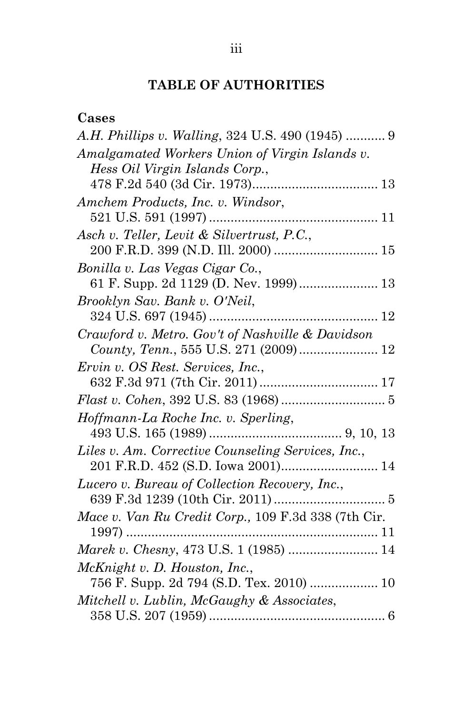# **TABLE OF AUTHORITIES**

<span id="page-4-0"></span>

| s<br>-67<br>a. |  |
|----------------|--|
|----------------|--|

| A.H. Phillips v. Walling, 324 U.S. 490 (1945)  9    |
|-----------------------------------------------------|
| Amalgamated Workers Union of Virgin Islands v.      |
| Hess Oil Virgin Islands Corp.,                      |
|                                                     |
| Amchem Products, Inc. v. Windsor,                   |
|                                                     |
| Asch v. Teller, Levit & Silvertrust, P.C.,          |
|                                                     |
| Bonilla v. Las Vegas Cigar Co.,                     |
| 61 F. Supp. 2d 1129 (D. Nev. 1999) 13               |
| Brooklyn Sav. Bank v. O'Neil,                       |
|                                                     |
| Crawford v. Metro. Gov't of Nashville & Davidson    |
|                                                     |
| Ervin v. OS Rest. Services, Inc.,                   |
|                                                     |
|                                                     |
| Hoffmann-La Roche Inc. v. Sperling,                 |
|                                                     |
| Liles v. Am. Corrective Counseling Services, Inc.,  |
|                                                     |
| Lucero v. Bureau of Collection Recovery, Inc.,      |
|                                                     |
| Mace v. Van Ru Credit Corp., 109 F.3d 338 (7th Cir. |
| 1997)                                               |
| Marek v. Chesny, 473 U.S. 1 (1985)  14              |
| McKnight v. D. Houston, Inc.,                       |
| 756 F. Supp. 2d 794 (S.D. Tex. 2010)  10            |
| Mitchell v. Lublin, McGaughy & Associates,          |
|                                                     |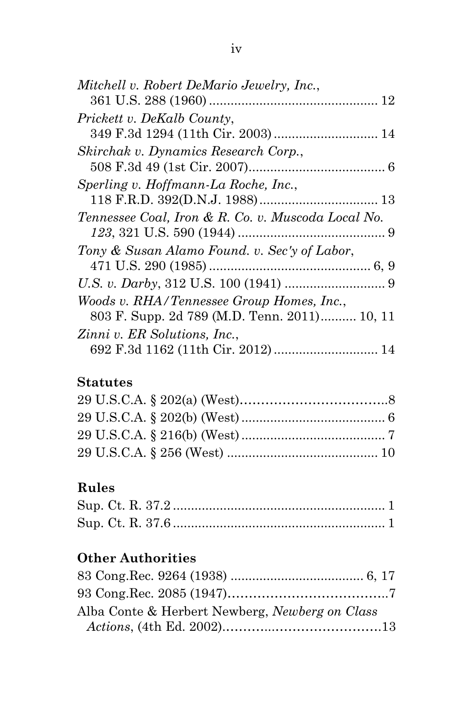| Mitchell v. Robert DeMario Jewelry, Inc.,          |
|----------------------------------------------------|
|                                                    |
| Prickett v. DeKalb County,                         |
|                                                    |
| Skirchak v. Dynamics Research Corp.,               |
|                                                    |
| Sperling v. Hoffmann-La Roche, Inc.,               |
|                                                    |
| Tennessee Coal, Iron & R. Co. v. Muscoda Local No. |
|                                                    |
| Tony & Susan Alamo Found. v. Sec'y of Labor,       |
|                                                    |
|                                                    |
| Woods v. RHA/Tennessee Group Homes, Inc.,          |
| 803 F. Supp. 2d 789 (M.D. Tenn. 2011) 10, 11       |
| Zinni v. ER Solutions, Inc.,                       |
| 692 F.3d 1162 (11th Cir. 2012)  14                 |

# **Statutes**

# **Rules**

# **Other Authorities**

| Alba Conte & Herbert Newberg, Newberg on Class |  |
|------------------------------------------------|--|
|                                                |  |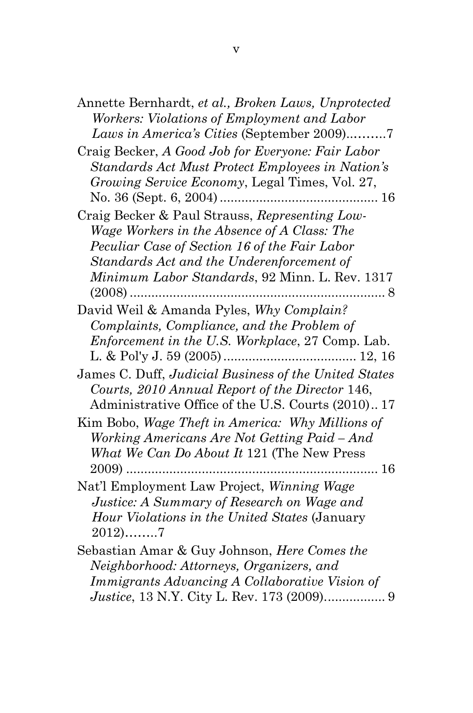| Annette Bernhardt, et al., Broken Laws, Unprotected     |
|---------------------------------------------------------|
| Workers: Violations of Employment and Labor             |
| Laws in America's Cities (September 2009)7              |
| Craig Becker, A Good Job for Everyone: Fair Labor       |
| Standards Act Must Protect Employees in Nation's        |
| Growing Service Economy, Legal Times, Vol. 27,          |
|                                                         |
| Craig Becker & Paul Strauss, Representing Low-          |
| Wage Workers in the Absence of A Class: The             |
| Peculiar Case of Section 16 of the Fair Labor           |
| Standards Act and the Underenforcement of               |
| Minimum Labor Standards, 92 Minn. L. Rev. 1317          |
| $(2008)$                                                |
| David Weil & Amanda Pyles, Why Complain?                |
| Complaints, Compliance, and the Problem of              |
| <i>Enforcement in the U.S. Workplace, 27 Comp. Lab.</i> |
|                                                         |
| James C. Duff, Judicial Business of the United States   |
| Courts, 2010 Annual Report of the Director 146,         |
| Administrative Office of the U.S. Courts (2010) 17      |
| Kim Bobo, Wage Theft in America: Why Millions of        |
| Working Americans Are Not Getting Paid – And            |
| What We Can Do About It 121 (The New Press              |
|                                                         |
| Nat'l Employment Law Project, Winning Wage              |
| Justice: A Summary of Research on Wage and              |
| Hour Violations in the United States (January           |
| $2012)$ 7                                               |
| Sebastian Amar & Guy Johnson, Here Comes the            |
| Neighborhood: Attorneys, Organizers, and                |
| Immigrants Advancing A Collaborative Vision of          |
|                                                         |

*Justice*, 13 N.Y. City L. Rev. 173 (2009)................. 9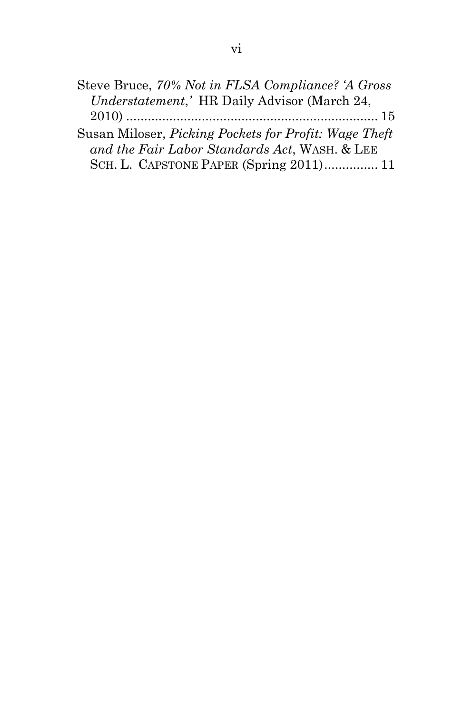| Steve Bruce, 70% Not in FLSA Compliance? 'A Gross            |  |
|--------------------------------------------------------------|--|
| Understatement,' HR Daily Advisor (March 24,                 |  |
|                                                              |  |
| Susan Miloser, <i>Picking Pockets for Profit: Wage Theft</i> |  |
| and the Fair Labor Standards Act, WASH. & LEE                |  |
| SCH. L. CAPSTONE PAPER (Spring 2011) 11                      |  |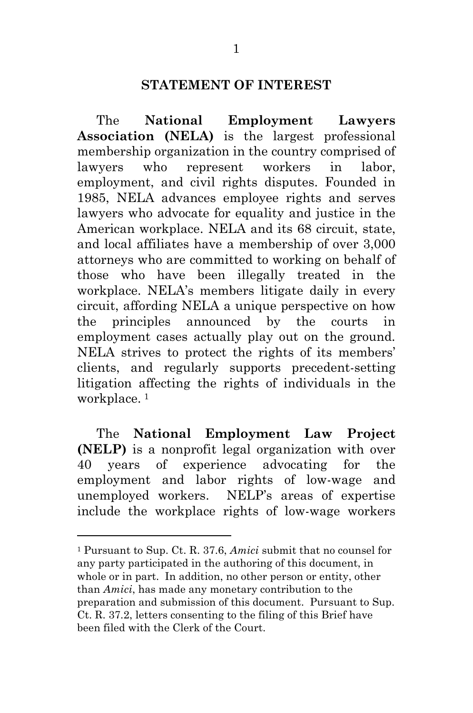#### **STATEMENT OF INTEREST**

<span id="page-8-0"></span>The **National Employment Lawyers Association (NELA)** is the largest professional membership organization in the country comprised of lawyers who represent workers in labor, employment, and civil rights disputes. Founded in 1985, NELA advances employee rights and serves lawyers who advocate for equality and justice in the American workplace. NELA and its 68 circuit, state, and local affiliates have a membership of over 3,000 attorneys who are committed to working on behalf of those who have been illegally treated in the workplace. NELA's members litigate daily in every circuit, affording NELA a unique perspective on how the principles announced by the courts in employment cases actually play out on the ground. NELA strives to protect the rights of its members' clients, and regularly supports precedent-setting litigation affecting the rights of individuals in the workplace.<sup>1</sup>

The **National Employment Law Project (NELP)** is a nonprofit legal organization with over 40 years of experience advocating for the employment and labor rights of low-wage and unemployed workers. NELP's areas of expertise include the workplace rights of low-wage workers

<span id="page-8-1"></span> 1 Pursuant to Sup. Ct. R. 37.6, *Amici* submit that no counsel for any party participated in the authoring of this document, in whole or in part. In addition, no other person or entity, other than *Amici*, has made any monetary contribution to the preparation and submission of this document. Pursuant to Sup. Ct. R. 37.2, letters consenting to the filing of this Brief have been filed with the Clerk of the Court.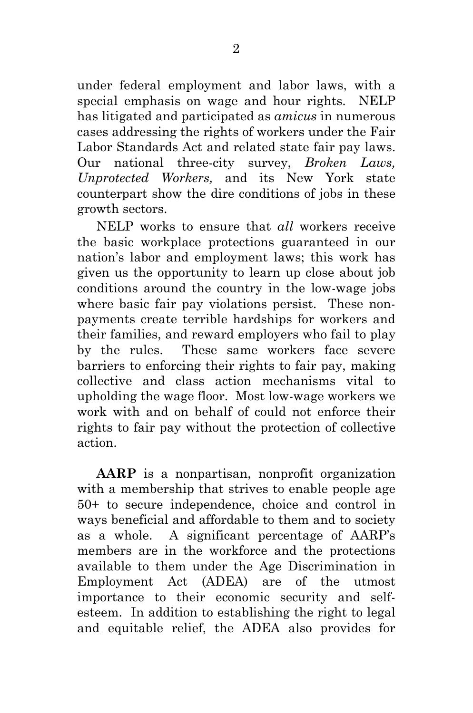under federal employment and labor laws, with a special emphasis on wage and hour rights. NELP has litigated and participated as *amicus* in numerous cases addressing the rights of workers under the Fair Labor Standards Act and related state fair pay laws. Our national three-city survey, *Broken Laws, Unprotected Workers,* and its New York state counterpart show the dire conditions of jobs in these growth sectors.

NELP works to ensure that *all* workers receive the basic workplace protections guaranteed in our nation's labor and employment laws; this work has given us the opportunity to learn up close about job conditions around the country in the low-wage jobs where basic fair pay violations persist. These nonpayments create terrible hardships for workers and their families, and reward employers who fail to play by the rules. These same workers face severe barriers to enforcing their rights to fair pay, making collective and class action mechanisms vital to upholding the wage floor. Most low-wage workers we work with and on behalf of could not enforce their rights to fair pay without the protection of collective action.

**AARP** is a nonpartisan, nonprofit organization with a membership that strives to enable people age 50+ to secure independence, choice and control in ways beneficial and affordable to them and to society as a whole. A significant percentage of AARP's members are in the workforce and the protections available to them under the Age Discrimination in Employment Act (ADEA) are of the utmost importance to their economic security and selfesteem. In addition to establishing the right to legal and equitable relief, the ADEA also provides for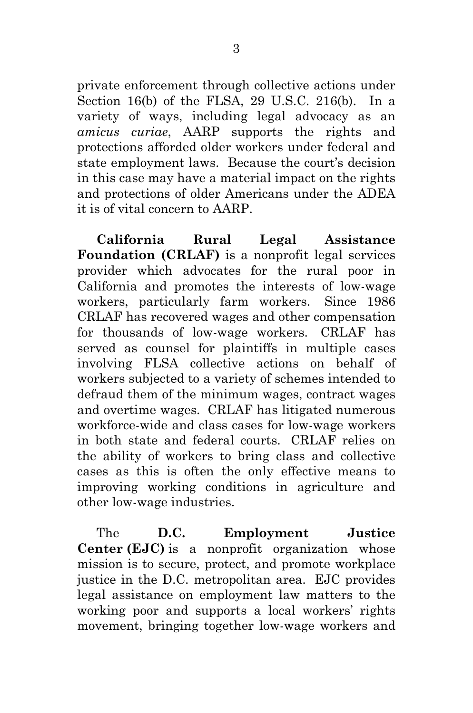private enforcement through collective actions under Section 16(b) of the FLSA, 29 U.S.C. 216(b). In a variety of ways, including legal advocacy as an *amicus curiae*, AARP supports the rights and protections afforded older workers under federal and state employment laws. Because the court's decision in this case may have a material impact on the rights and protections of older Americans under the ADEA it is of vital concern to AARP.

**California Rural Legal Assistance Foundation (CRLAF)** is a nonprofit legal services provider which advocates for the rural poor in California and promotes the interests of low-wage workers, particularly farm workers. Since 1986 CRLAF has recovered wages and other compensation for thousands of low-wage workers. CRLAF has served as counsel for plaintiffs in multiple cases involving FLSA collective actions on behalf of workers subjected to a variety of schemes intended to defraud them of the minimum wages, contract wages and overtime wages. CRLAF has litigated numerous workforce-wide and class cases for low-wage workers in both state and federal courts. CRLAF relies on the ability of workers to bring class and collective cases as this is often the only effective means to improving working conditions in agriculture and other low-wage industries.

The **D.C. Employment Justice Center (EJC)** is a nonprofit organization whose mission is to secure, protect, and promote workplace justice in the D.C. metropolitan area. EJC provides legal assistance on employment law matters to the working poor and supports a local workers' rights movement, bringing together low-wage workers and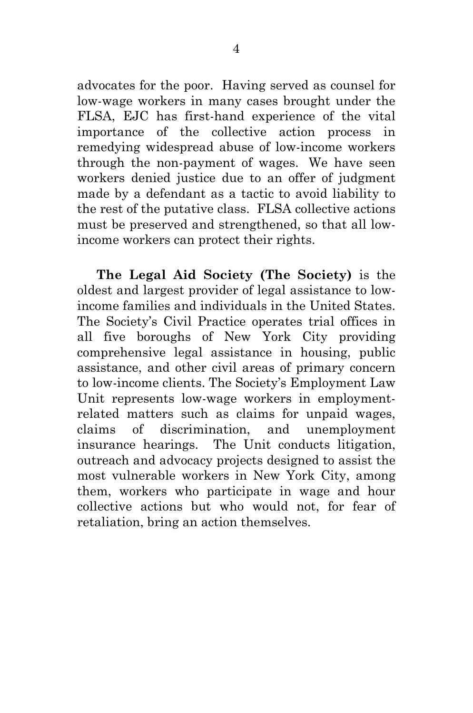advocates for the poor. Having served as counsel for low-wage workers in many cases brought under the FLSA, EJC has first-hand experience of the vital importance of the collective action process in remedying widespread abuse of low-income workers through the non-payment of wages. We have seen workers denied justice due to an offer of judgment made by a defendant as a tactic to avoid liability to the rest of the putative class. FLSA collective actions must be preserved and strengthened, so that all lowincome workers can protect their rights.

<span id="page-11-0"></span>**The Legal Aid Society (The Society)** is the oldest and largest provider of legal assistance to lowincome families and individuals in the United States. The Society's Civil Practice operates trial offices in all five boroughs of New York City providing comprehensive legal assistance in housing, public assistance, and other civil areas of primary concern to low-income clients. The Society's Employment Law Unit represents low-wage workers in employmentrelated matters such as claims for unpaid wages, claims of discrimination, and unemployment insurance hearings. The Unit conducts litigation, outreach and advocacy projects designed to assist the most vulnerable workers in New York City, among them, workers who participate in wage and hour collective actions but who would not, for fear of retaliation, bring an action themselves.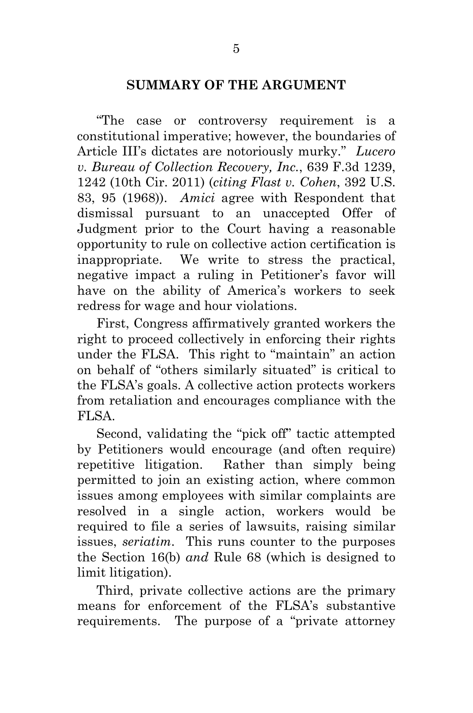# **SUMMARY OF THE ARGUMENT**

"The case or controversy requirement is a constitutional imperative; however, the boundaries of Article III's dictates are notoriously murky." *Lucero v. Bureau of Collection Recovery, Inc.*, 639 F.3d 1239, 1242 (10th Cir. 2011) (*citing Flast v. Cohen*, 392 U.S. 83, 95 (1968)). *Amici* agree with Respondent that dismissal pursuant to an unaccepted Offer of Judgment prior to the Court having a reasonable opportunity to rule on collective action certification is inappropriate. We write to stress the practical, negative impact a ruling in Petitioner's favor will have on the ability of America's workers to seek redress for wage and hour violations.

First, Congress affirmatively granted workers the right to proceed collectively in enforcing their rights under the FLSA. This right to "maintain" an action on behalf of "others similarly situated" is critical to the FLSA's goals. A collective action protects workers from retaliation and encourages compliance with the FLSA.

Second, validating the "pick off" tactic attempted by Petitioners would encourage (and often require) repetitive litigation. Rather than simply being permitted to join an existing action, where common issues among employees with similar complaints are resolved in a single action, workers would be required to file a series of lawsuits, raising similar issues, *seriatim*. This runs counter to the purposes the Section 16(b) *and* Rule 68 (which is designed to limit litigation).

Third, private collective actions are the primary means for enforcement of the FLSA's substantive requirements. The purpose of a "private attorney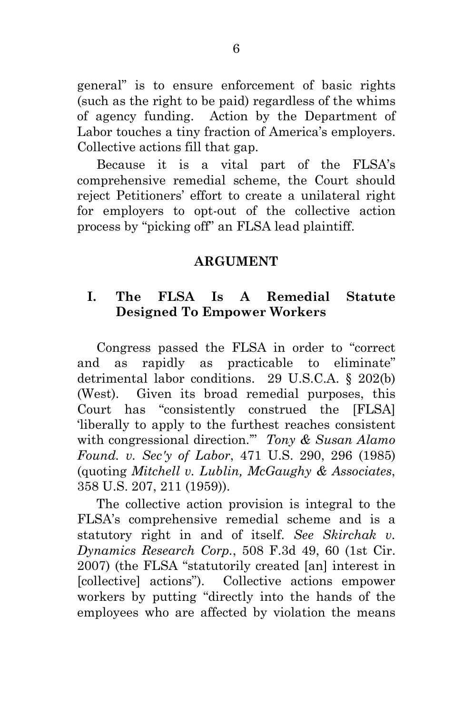general" is to ensure enforcement of basic rights (such as the right to be paid) regardless of the whims of agency funding. Action by the Department of Labor touches a tiny fraction of America's employers. Collective actions fill that gap.

Because it is a vital part of the FLSA's comprehensive remedial scheme, the Court should reject Petitioners' effort to create a unilateral right for employers to opt-out of the collective action process by "picking off" an FLSA lead plaintiff.

#### **ARGUMENT**

## <span id="page-13-1"></span><span id="page-13-0"></span>**I. The FLSA Is A Remedial Statute Designed To Empower Workers**

Congress passed the FLSA in order to "correct and as rapidly as practicable to eliminate" detrimental labor conditions. 29 U.S.C.A. § 202(b) (West). Given its broad remedial purposes, this Court has "consistently construed the [FLSA] 'liberally to apply to the furthest reaches consistent with congressional direction.'" *Tony & Susan Alamo Found. v. Sec'y of Labor*, 471 U.S. 290, 296 (1985) (quoting *Mitchell v. Lublin, McGaughy & Associates*, 358 U.S. 207, 211 (1959)).

The collective action provision is integral to the FLSA's comprehensive remedial scheme and is a statutory right in and of itself. *See Skirchak v. Dynamics Research Corp.*, 508 F.3d 49, 60 (1st Cir. 2007) (the FLSA "statutorily created [an] interest in [collective] actions"). Collective actions empower workers by putting "directly into the hands of the employees who are affected by violation the means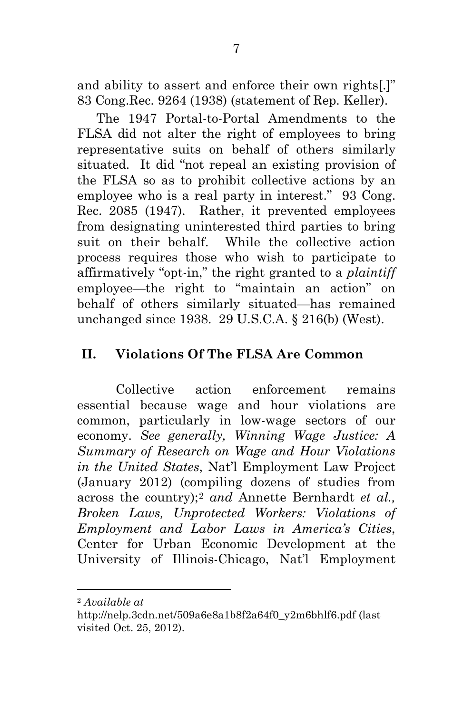and ability to assert and enforce their own rights[.]" 83 Cong.Rec. 9264 (1938) (statement of Rep. Keller).

The 1947 Portal-to-Portal Amendments to the FLSA did not alter the right of employees to bring representative suits on behalf of others similarly situated. It did "not repeal an existing provision of the FLSA so as to prohibit collective actions by an employee who is a real party in interest." 93 Cong. Rec. 2085 (1947). Rather, it prevented employees from designating uninterested third parties to bring suit on their behalf. While the collective action process requires those who wish to participate to affirmatively "opt-in," the right granted to a *plaintiff*  employee—the right to "maintain an action" on behalf of others similarly situated—has remained unchanged since 1938. 29 U.S.C.A. § 216(b) (West).

# <span id="page-14-0"></span>**II. Violations Of The FLSA Are Common**

Collective action enforcement remains essential because wage and hour violations are common, particularly in low-wage sectors of our economy. *See generally, Winning Wage Justice: A Summary of Research on Wage and Hour Violations in the United States*, Nat'l Employment Law Project (January 2012) (compiling dozens of studies from across the country);[2](#page-14-1) *and* Annette Bernhardt *et al., Broken Laws, Unprotected Workers: Violations of Employment and Labor Laws in America's Cities*, Center for Urban Economic Development at the University of Illinois-Chicago, Nat'l Employment

<span id="page-14-1"></span> <sup>2</sup> *Available at*

http://nelp.3cdn.net/509a6e8a1b8f2a64f0\_y2m6bhlf6.pdf (last visited Oct. 25, 2012).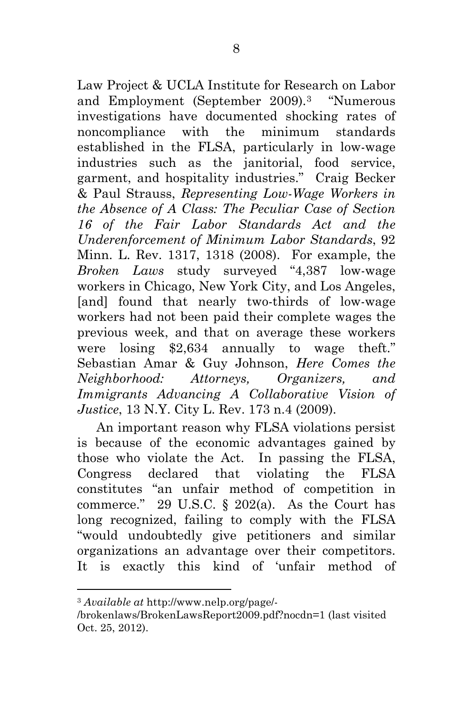Law Project & UCLA Institute for Research on Labor and Employment (September 2009).[3](#page-15-0) "Numerous investigations have documented shocking rates of noncompliance with the minimum standards established in the FLSA, particularly in low-wage industries such as the janitorial, food service, garment, and hospitality industries." Craig Becker & Paul Strauss, *Representing Low-Wage Workers in the Absence of A Class: The Peculiar Case of Section 16 of the Fair Labor Standards Act and the Underenforcement of Minimum Labor Standards*, 92 Minn. L. Rev. 1317, 1318 (2008). For example, the *Broken Laws* study surveyed "4,387 low-wage workers in Chicago, New York City, and Los Angeles, [and] found that nearly two-thirds of low-wage workers had not been paid their complete wages the previous week, and that on average these workers were losing \$2,634 annually to wage theft." Sebastian Amar & Guy Johnson, *Here Comes the Neighborhood: Attorneys, Organizers, and Immigrants Advancing A Collaborative Vision of Justice*, 13 N.Y. City L. Rev. 173 n.4 (2009).

An important reason why FLSA violations persist is because of the economic advantages gained by those who violate the Act. In passing the FLSA, Congress declared that violating the FLSA constitutes "an unfair method of competition in commerce." 29 U.S.C.  $\S$  202(a). As the Court has long recognized, failing to comply with the FLSA "would undoubtedly give petitioners and similar organizations an advantage over their competitors. It is exactly this kind of 'unfair method of

<span id="page-15-0"></span> <sup>3</sup> *Available at* http://www.nelp.org/page/-

<sup>/</sup>brokenlaws/BrokenLawsReport2009.pdf?nocdn=1 (last visited Oct. 25, 2012).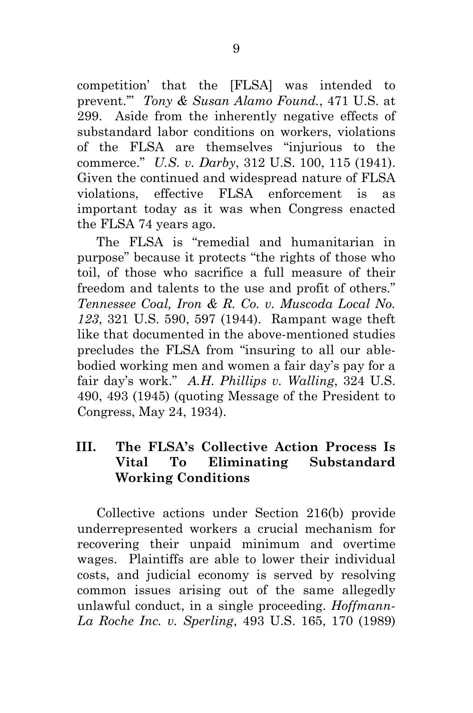competition' that the [FLSA] was intended to prevent.'" *Tony & Susan Alamo Found.*, 471 U.S. at 299. Aside from the inherently negative effects of substandard labor conditions on workers, violations of the FLSA are themselves "injurious to the commerce." *U.S. v. Darby*, 312 U.S. 100, 115 (1941). Given the continued and widespread nature of FLSA violations, effective FLSA enforcement is as important today as it was when Congress enacted the FLSA 74 years ago.

The FLSA is "remedial and humanitarian in purpose" because it protects "the rights of those who toil, of those who sacrifice a full measure of their freedom and talents to the use and profit of others." *Tennessee Coal, Iron & R. Co. v. Muscoda Local No. 123*, 321 U.S. 590, 597 (1944). Rampant wage theft like that documented in the above-mentioned studies precludes the FLSA from "insuring to all our ablebodied working men and women a fair day's pay for a fair day's work." *A.H. Phillips v. Walling*, 324 U.S. 490, 493 (1945) (quoting Message of the President to Congress, May 24, 1934).

### <span id="page-16-0"></span>**III. The FLSA's Collective Action Process Is Vital To Eliminating Substandard Working Conditions**

Collective actions under Section 216(b) provide underrepresented workers a crucial mechanism for recovering their unpaid minimum and overtime wages. Plaintiffs are able to lower their individual costs, and judicial economy is served by resolving common issues arising out of the same allegedly unlawful conduct, in a single proceeding. *Hoffmann-La Roche Inc. v. Sperling*, 493 U.S. 165, 170 (1989)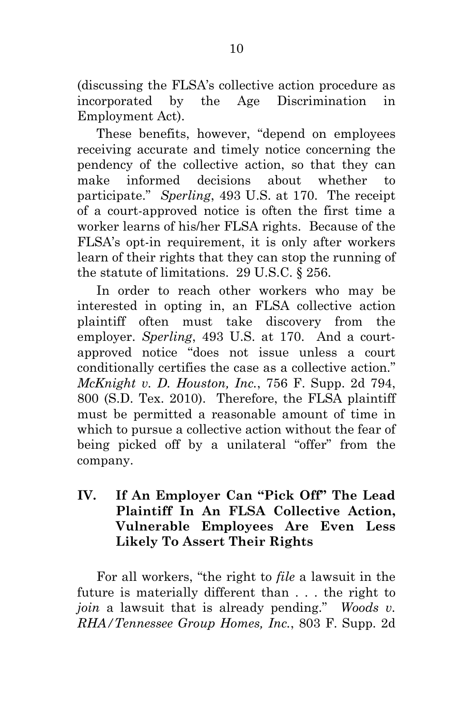(discussing the FLSA's collective action procedure as incorporated by the Age Discrimination in Employment Act).

These benefits, however, "depend on employees receiving accurate and timely notice concerning the pendency of the collective action, so that they can make informed decisions about whether to participate." *Sperling*, 493 U.S. at 170. The receipt of a court-approved notice is often the first time a worker learns of his/her FLSA rights. Because of the FLSA's opt-in requirement, it is only after workers learn of their rights that they can stop the running of the statute of limitations. 29 U.S.C. § 256.

In order to reach other workers who may be interested in opting in, an FLSA collective action plaintiff often must take discovery from the employer. *Sperling*, 493 U.S. at 170. And a courtapproved notice "does not issue unless a court conditionally certifies the case as a collective action." *McKnight v. D. Houston, Inc.*, 756 F. Supp. 2d 794, 800 (S.D. Tex. 2010). Therefore, the FLSA plaintiff must be permitted a reasonable amount of time in which to pursue a collective action without the fear of being picked off by a unilateral "offer" from the company.

# <span id="page-17-0"></span>**IV. If An Employer Can "Pick Off" The Lead Plaintiff In An FLSA Collective Action, Vulnerable Employees Are Even Less Likely To Assert Their Rights**

For all workers, "the right to *file* a lawsuit in the future is materially different than . . . the right to *join* a lawsuit that is already pending." *Woods v. RHA/Tennessee Group Homes, Inc.*, 803 F. Supp. 2d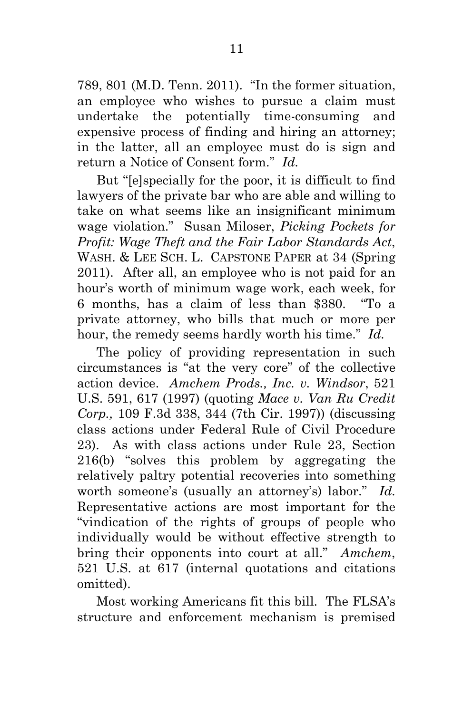789, 801 (M.D. Tenn. 2011). "In the former situation, an employee who wishes to pursue a claim must undertake the potentially time-consuming and expensive process of finding and hiring an attorney; in the latter, all an employee must do is sign and return a Notice of Consent form." *Id.*

But "[e]specially for the poor, it is difficult to find lawyers of the private bar who are able and willing to take on what seems like an insignificant minimum wage violation." Susan Miloser, *Picking Pockets for Profit: Wage Theft and the Fair Labor Standards Act*, WASH. & LEE SCH. L. CAPSTONE PAPER at 34 (Spring) 2011). After all, an employee who is not paid for an hour's worth of minimum wage work, each week, for 6 months, has a claim of less than \$380. "To a private attorney, who bills that much or more per hour, the remedy seems hardly worth his time." *Id.*

The policy of providing representation in such circumstances is "at the very core" of the collective action device. *Amchem Prods., Inc. v. Windsor*, 521 U.S. 591, 617 (1997) (quoting *Mace v. Van Ru Credit Corp.,* 109 F.3d 338, 344 (7th Cir. 1997)) (discussing class actions under Federal Rule of Civil Procedure 23). As with class actions under Rule 23, Section 216(b) "solves this problem by aggregating the relatively paltry potential recoveries into something worth someone's (usually an attorney's) labor." *Id.* Representative actions are most important for the "vindication of the rights of groups of people who individually would be without effective strength to bring their opponents into court at all." *Amchem*, 521 U.S. at 617 (internal quotations and citations omitted).

Most working Americans fit this bill. The FLSA's structure and enforcement mechanism is premised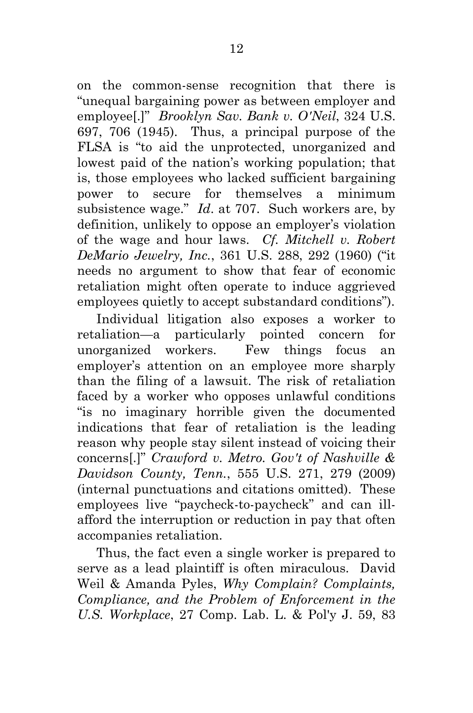on the common-sense recognition that there is "unequal bargaining power as between employer and employee[.]" *Brooklyn Sav. Bank v. O'Neil*, 324 U.S. 697, 706 (1945). Thus, a principal purpose of the FLSA is "to aid the unprotected, unorganized and lowest paid of the nation's working population; that is, those employees who lacked sufficient bargaining power to secure for themselves a minimum subsistence wage." *Id*. at 707. Such workers are, by definition, unlikely to oppose an employer's violation of the wage and hour laws. *Cf. Mitchell v. Robert DeMario Jewelry, Inc.*, 361 U.S. 288, 292 (1960) ("it needs no argument to show that fear of economic retaliation might often operate to induce aggrieved employees quietly to accept substandard conditions").

Individual litigation also exposes a worker to retaliation—a particularly pointed concern for unorganized workers. Few things focus an employer's attention on an employee more sharply than the filing of a lawsuit. The risk of retaliation faced by a worker who opposes unlawful conditions "is no imaginary horrible given the documented indications that fear of retaliation is the leading reason why people stay silent instead of voicing their concerns[.]" *Crawford v. Metro. Gov't of Nashville & Davidson County, Tenn.*, 555 U.S. 271, 279 (2009) (internal punctuations and citations omitted). These employees live "paycheck-to-paycheck" and can illafford the interruption or reduction in pay that often accompanies retaliation.

Thus, the fact even a single worker is prepared to serve as a lead plaintiff is often miraculous. David Weil & Amanda Pyles, *Why Complain? Complaints, Compliance, and the Problem of Enforcement in the U.S. Workplace*, 27 Comp. Lab. L. & Pol'y J. 59, 83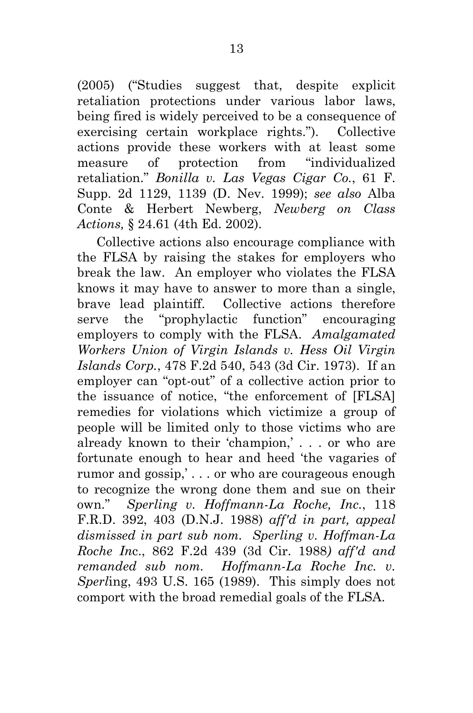(2005) ("Studies suggest that, despite explicit retaliation protections under various labor laws, being fired is widely perceived to be a consequence of exercising certain workplace rights."). Collective actions provide these workers with at least some measure of protection from "individualized retaliation." *Bonilla v. Las Vegas Cigar Co.*, 61 F. Supp. 2d 1129, 1139 (D. Nev. 1999); *see also* Alba Conte & Herbert Newberg, *Newberg on Class Actions,* § 24.61 (4th Ed. 2002).

Collective actions also encourage compliance with the FLSA by raising the stakes for employers who break the law. An employer who violates the FLSA knows it may have to answer to more than a single, brave lead plaintiff. Collective actions therefore serve the "prophylactic function" encouraging employers to comply with the FLSA. *Amalgamated Workers Union of Virgin Islands v. Hess Oil Virgin Islands Corp.*, 478 F.2d 540, 543 (3d Cir. 1973). If an employer can "opt-out" of a collective action prior to the issuance of notice, "the enforcement of [FLSA] remedies for violations which victimize a group of people will be limited only to those victims who are already known to their 'champion,' . . . or who are fortunate enough to hear and heed 'the vagaries of rumor and gossip,' . . . or who are courageous enough to recognize the wrong done them and sue on their own." *Sperling v. Hoffmann-La Roche, Inc.*, 118 F.R.D. 392, 403 (D.N.J. 1988) *aff'd in part, appeal dismissed in part sub nom. Sperling v. Hoffman-La Roche In*c., 862 F.2d 439 (3d Cir. 1988*) aff'd and remanded sub nom. Hoffmann-La Roche Inc. v. Sperl*ing, 493 U.S. 165 (1989). This simply does not comport with the broad remedial goals of the FLSA.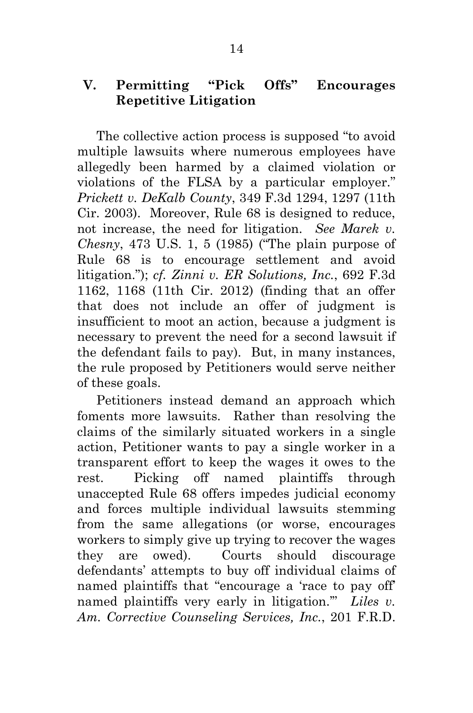## <span id="page-21-0"></span>**V. Permitting "Pick Offs" Encourages Repetitive Litigation**

The collective action process is supposed "to avoid multiple lawsuits where numerous employees have allegedly been harmed by a claimed violation or violations of the FLSA by a particular employer." *Prickett v. DeKalb County*, 349 F.3d 1294, 1297 (11th Cir. 2003). Moreover, Rule 68 is designed to reduce, not increase, the need for litigation. *See Marek v. Chesny*, 473 U.S. 1, 5 (1985) ("The plain purpose of Rule 68 is to encourage settlement and avoid litigation."); *cf. Zinni v. ER Solutions, Inc.*, 692 F.3d 1162, 1168 (11th Cir. 2012) (finding that an offer that does not include an offer of judgment is insufficient to moot an action, because a judgment is necessary to prevent the need for a second lawsuit if the defendant fails to pay). But, in many instances, the rule proposed by Petitioners would serve neither of these goals.

Petitioners instead demand an approach which foments more lawsuits. Rather than resolving the claims of the similarly situated workers in a single action, Petitioner wants to pay a single worker in a transparent effort to keep the wages it owes to the rest. Picking off named plaintiffs through unaccepted Rule 68 offers impedes judicial economy and forces multiple individual lawsuits stemming from the same allegations (or worse, encourages workers to simply give up trying to recover the wages they are owed). Courts should discourage defendants' attempts to buy off individual claims of named plaintiffs that "encourage a 'race to pay off' named plaintiffs very early in litigation.'" *Liles v. Am. Corrective Counseling Services, Inc.*, 201 F.R.D.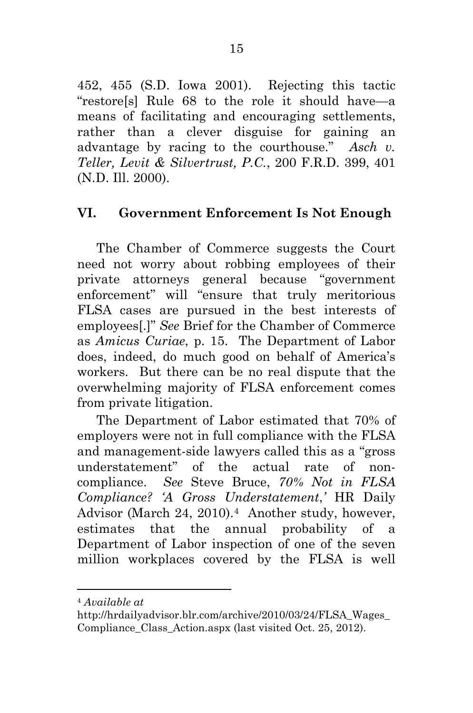452, 455 (S.D. Iowa 2001). Rejecting this tactic "restore[s] Rule 68 to the role it should have—a means of facilitating and encouraging settlements, rather than a clever disguise for gaining an advantage by racing to the courthouse." *Asch v. Teller, Levit & Silvertrust, P.C.*, 200 F.R.D. 399, 401 (N.D. Ill. 2000).

# <span id="page-22-0"></span>**VI. Government Enforcement Is Not Enough**

The Chamber of Commerce suggests the Court need not worry about robbing employees of their private attorneys general because "government enforcement" will "ensure that truly meritorious FLSA cases are pursued in the best interests of employees[.]" *See* Brief for the Chamber of Commerce as *Amicus Curiae*, p. 15. The Department of Labor does, indeed, do much good on behalf of America's workers. But there can be no real dispute that the overwhelming majority of FLSA enforcement comes from private litigation.

The Department of Labor estimated that 70% of employers were not in full compliance with the FLSA and management-side lawyers called this as a "gross understatement" of the actual rate of noncompliance. *See* Steve Bruce, *70% Not in FLSA Compliance? 'A Gross Understatement*,*'* HR Daily Advisor (March 24, 2010).<sup>4</sup> Another study, however, estimates that the annual probability of a Department of Labor inspection of one of the seven million workplaces covered by the FLSA is well

<span id="page-22-1"></span> <sup>4</sup> *Available at*

http://hrdailyadvisor.blr.com/archive/2010/03/24/FLSA\_Wages\_ Compliance Class Action.aspx (last visited Oct. 25, 2012).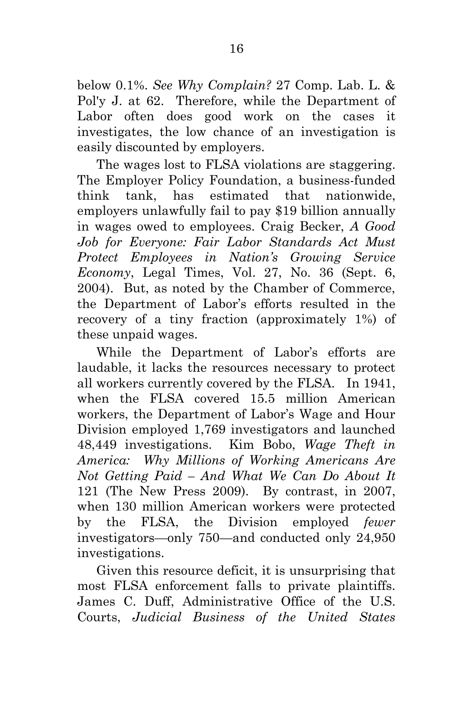below 0.1%. *See Why Complain?* 27 Comp. Lab. L. & Pol'y J. at 62. Therefore, while the Department of Labor often does good work on the cases it investigates, the low chance of an investigation is easily discounted by employers.

The wages lost to FLSA violations are staggering. The Employer Policy Foundation, a business-funded think tank, has estimated that nationwide, employers unlawfully fail to pay \$19 billion annually in wages owed to employees. Craig Becker, *A Good Job for Everyone: Fair Labor Standards Act Must Protect Employees in Nation's Growing Service Economy*, Legal Times, Vol. 27, No. 36 (Sept. 6, 2004). But, as noted by the Chamber of Commerce, the Department of Labor's efforts resulted in the recovery of a tiny fraction (approximately 1%) of these unpaid wages.

While the Department of Labor's efforts are laudable, it lacks the resources necessary to protect all workers currently covered by the FLSA. In 1941, when the FLSA covered 15.5 million American workers, the Department of Labor's Wage and Hour Division employed 1,769 investigators and launched 48,449 investigations. Kim Bobo, *Wage Theft in America: Why Millions of Working Americans Are Not Getting Paid – And What We Can Do About It* 121 (The New Press 2009). By contrast, in 2007, when 130 million American workers were protected by the FLSA, the Division employed *fewer* investigators—only 750—and conducted only 24,950 investigations.

Given this resource deficit, it is unsurprising that most FLSA enforcement falls to private plaintiffs. James C. Duff, Administrative Office of the U.S. Courts, *Judicial Business of the United States*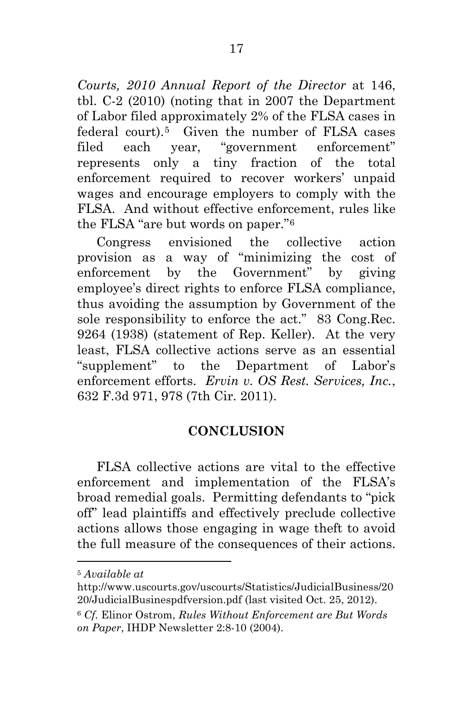*Courts, 2010 Annual Report of the Director* at 146, tbl. C-2 (2010) (noting that in 2007 the Department of Labor filed approximately 2% of the FLSA cases in federal court).[5](#page-24-1) Given the number of FLSA cases filed each year, "government enforcement" represents only a tiny fraction of the total enforcement required to recover workers' unpaid wages and encourage employers to comply with the FLSA. And without effective enforcement, rules like the FLSA "are but words on paper."[6](#page-24-2) 

Congress envisioned the collective action provision as a way of "minimizing the cost of enforcement by the Government" by giving employee's direct rights to enforce FLSA compliance, thus avoiding the assumption by Government of the sole responsibility to enforce the act." 83 Cong.Rec. 9264 (1938) (statement of Rep. Keller). At the very least, FLSA collective actions serve as an essential "supplement" to the Department of Labor's enforcement efforts. *Ervin v. OS Rest. Services, Inc.*, 632 F.3d 971, 978 (7th Cir. 2011).

# **CONCLUSION**

<span id="page-24-0"></span>FLSA collective actions are vital to the effective enforcement and implementation of the FLSA's broad remedial goals. Permitting defendants to "pick off" lead plaintiffs and effectively preclude collective actions allows those engaging in wage theft to avoid the full measure of the consequences of their actions.

<span id="page-24-1"></span> <sup>5</sup> *Available at*

http://www.uscourts.gov/uscourts/Statistics/JudicialBusiness/20 20/JudicialBusinespdfversion.pdf (last visited Oct. 25, 2012).

<span id="page-24-2"></span><sup>6</sup> *Cf.* Elinor Ostrom, *Rules Without Enforcement are But Words on Paper*, IHDP Newsletter 2:8-10 (2004).